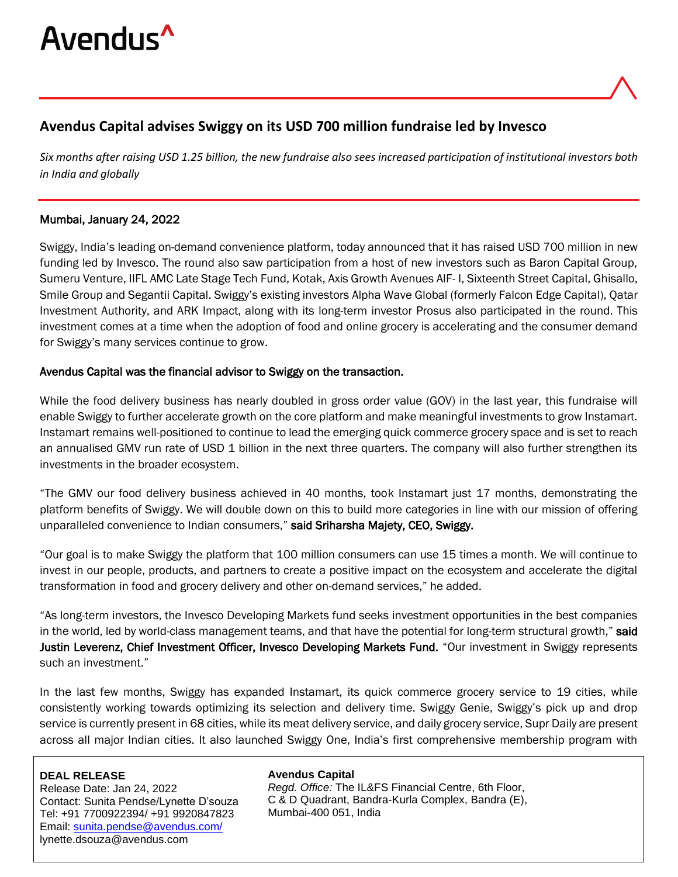

# **Avendus Capital advises Swiggy on its USD 700 million fundraise led by Invesco**

*Six months after raising USD 1.25 billion, the new fundraise also sees increased participation of institutional investors both in India and globally*

## Mumbai, January 24, 2022

Swiggy, India's leading on-demand convenience platform, today announced that it has raised USD 700 million in new funding led by Invesco. The round also saw participation from a host of new investors such as Baron Capital Group, Sumeru Venture, IIFL AMC Late Stage Tech Fund, Kotak, Axis Growth Avenues AIF- I, Sixteenth Street Capital, Ghisallo, Smile Group and Segantii Capital. Swiggy's existing investors Alpha Wave Global (formerly Falcon Edge Capital), Qatar Investment Authority, and ARK Impact, along with its long-term investor Prosus also participated in the round. This investment comes at a time when the adoption of food and online grocery is accelerating and the consumer demand for Swiggy's many services continue to grow.

## Avendus Capital was the financial advisor to Swiggy on the transaction.

While the food delivery business has nearly doubled in gross order value (GOV) in the last year, this fundraise will enable Swiggy to further accelerate growth on the core platform and make meaningful investments to grow Instamart. Instamart remains well-positioned to continue to lead the emerging quick commerce grocery space and is set to reach an annualised GMV run rate of USD 1 billion in the next three quarters. The company will also further strengthen its investments in the broader ecosystem.

"The GMV our food delivery business achieved in 40 months, took Instamart just 17 months, demonstrating the platform benefits of Swiggy. We will double down on this to build more categories in line with our mission of offering unparalleled convenience to Indian consumers," said Sriharsha Majety, CEO, Swiggy.

"Our goal is to make Swiggy the platform that 100 million consumers can use 15 times a month. We will continue to invest in our people, products, and partners to create a positive impact on the ecosystem and accelerate the digital transformation in food and grocery delivery and other on-demand services," he added.

"As long-term investors, the Invesco Developing Markets fund seeks investment opportunities in the best companies in the world, led by world-class management teams, and that have the potential for long-term structural growth," said Justin Leverenz, Chief Investment Officer, Invesco Developing Markets Fund. "Our investment in Swiggy represents such an investment."

In the last few months, Swiggy has expanded Instamart, its quick commerce grocery service to 19 cities, while consistently working towards optimizing its selection and delivery time. Swiggy Genie, Swiggy's pick up and drop service is currently present in 68 cities, while its meat delivery service, and daily grocery service, Supr Daily are present across all major Indian cities. It also launched Swiggy One, India's first comprehensive membership program with

### **DEAL RELEASE**

Release Date: Jan 24, 2022 Contact: Sunita Pendse/Lynette D'souza Tel: +91 7700922394/ +91 9920847823 Email: [sunita.pendse@avendus.com/](mailto:sunita.pendse@avendus.com/) lynette.dsouza@avendus.com

#### **Avendus Capital**

*Regd. Office:* The IL&FS Financial Centre, 6th Floor, C & D Quadrant, Bandra-Kurla Complex, Bandra (E), Mumbai-400 051, India